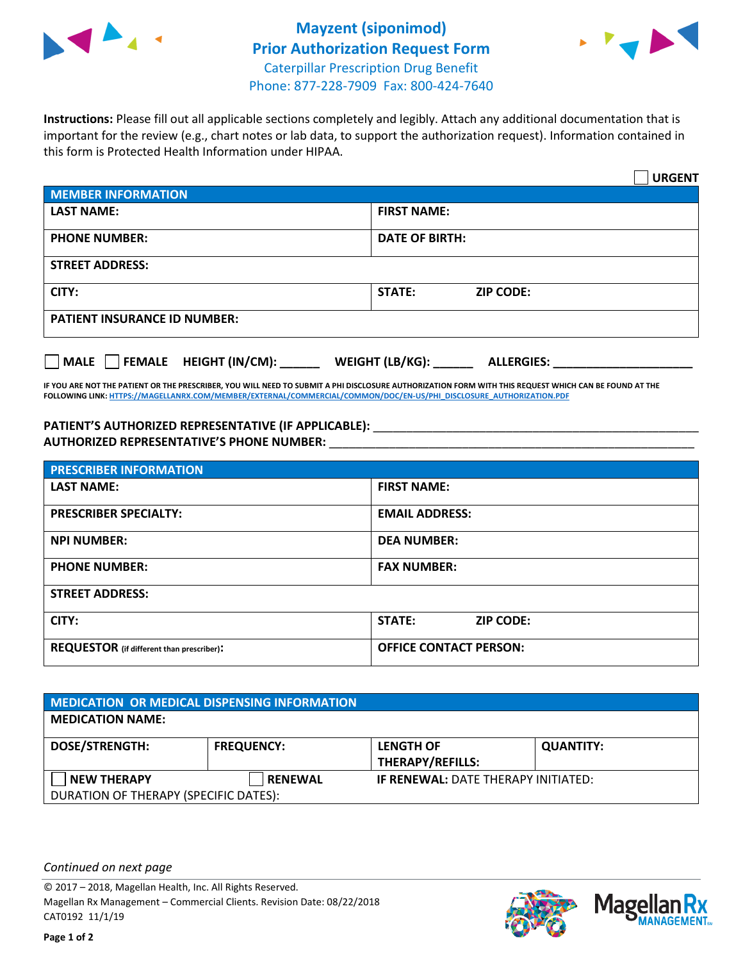



**Instructions:** Please fill out all applicable sections completely and legibly. Attach any additional documentation that is important for the review (e.g., chart notes or lab data, to support the authorization request). Information contained in this form is Protected Health Information under HIPAA.

|                                       | <b>URGENT</b>                        |  |  |  |
|---------------------------------------|--------------------------------------|--|--|--|
| <b>MEMBER INFORMATION</b>             |                                      |  |  |  |
| <b>LAST NAME:</b>                     | <b>FIRST NAME:</b>                   |  |  |  |
| <b>PHONE NUMBER:</b>                  | <b>DATE OF BIRTH:</b>                |  |  |  |
| <b>STREET ADDRESS:</b>                |                                      |  |  |  |
| CITY:                                 | STATE:<br><b>ZIP CODE:</b>           |  |  |  |
| <b>PATIENT INSURANCE ID NUMBER:</b>   |                                      |  |  |  |
| FEMALE HEIGHT (IN/CM):<br><b>MALE</b> | WEIGHT (LB/KG):<br><b>ALLERGIES:</b> |  |  |  |

**IF YOU ARE NOT THE PATIENT OR THE PRESCRIBER, YOU WILL NEED TO SUBMIT A PHI DISCLOSURE AUTHORIZATION FORM WITH THIS REQUEST WHICH CAN BE FOUND AT THE FOLLOWING LINK[: HTTPS://MAGELLANRX.COM/MEMBER/EXTERNAL/COMMERCIAL/COMMON/DOC/EN-US/PHI\\_DISCLOSURE\\_AUTHORIZATION.PDF](https://magellanrx.com/member/external/commercial/common/doc/en-us/PHI_Disclosure_Authorization.pdf)**

PATIENT'S AUTHORIZED REPRESENTATIVE (IF APPLICABLE): \_\_\_\_\_\_\_\_\_\_\_\_\_\_\_\_\_\_\_\_\_\_\_\_\_\_\_ **AUTHORIZED REPRESENTATIVE'S PHONE NUMBER:** \_\_\_\_\_\_\_\_\_\_\_\_\_\_\_\_\_\_\_\_\_\_\_\_\_\_\_\_\_\_\_\_\_\_\_\_\_\_\_\_\_\_\_\_\_\_\_\_\_\_\_\_\_\_\_

| <b>PRESCRIBER INFORMATION</b>             |                               |  |  |  |
|-------------------------------------------|-------------------------------|--|--|--|
| <b>LAST NAME:</b>                         | <b>FIRST NAME:</b>            |  |  |  |
| <b>PRESCRIBER SPECIALTY:</b>              | <b>EMAIL ADDRESS:</b>         |  |  |  |
| <b>NPI NUMBER:</b>                        | <b>DEA NUMBER:</b>            |  |  |  |
| <b>PHONE NUMBER:</b>                      | <b>FAX NUMBER:</b>            |  |  |  |
| <b>STREET ADDRESS:</b>                    |                               |  |  |  |
| CITY:                                     | STATE:<br><b>ZIP CODE:</b>    |  |  |  |
| REQUESTOR (if different than prescriber): | <b>OFFICE CONTACT PERSON:</b> |  |  |  |

| MEDICATION OR MEDICAL DISPENSING INFORMATION |                   |                                            |                  |  |  |
|----------------------------------------------|-------------------|--------------------------------------------|------------------|--|--|
| <b>MEDICATION NAME:</b>                      |                   |                                            |                  |  |  |
| <b>DOSE/STRENGTH:</b>                        | <b>FREQUENCY:</b> | <b>LENGTH OF</b>                           | <b>QUANTITY:</b> |  |  |
|                                              |                   | <b>THERAPY/REFILLS:</b>                    |                  |  |  |
| <b>NEW THERAPY</b>                           | <b>RENEWAL</b>    | <b>IF RENEWAL: DATE THERAPY INITIATED:</b> |                  |  |  |
| DURATION OF THERAPY (SPECIFIC DATES):        |                   |                                            |                  |  |  |

*Continued on next page*

© 2017 – 2018, Magellan Health, Inc. All Rights Reserved. Magellan Rx Management – Commercial Clients. Revision Date: 08/22/2018 CAT0192 11/1/19